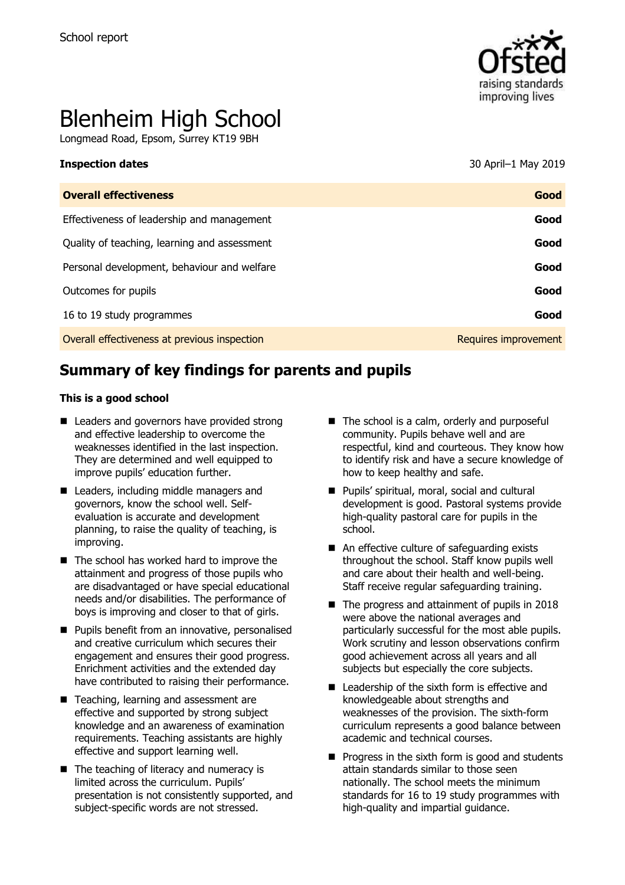

# Blenheim High School

Longmead Road, Epsom, Surrey KT19 9BH

**Inspection dates** 30 April–1 May 2019

| <b>Overall effectiveness</b>                 | Good                 |
|----------------------------------------------|----------------------|
| Effectiveness of leadership and management   | Good                 |
| Quality of teaching, learning and assessment | Good                 |
| Personal development, behaviour and welfare  | Good                 |
| Outcomes for pupils                          | Good                 |
| 16 to 19 study programmes                    | Good                 |
| Overall effectiveness at previous inspection | Requires improvement |

# **Summary of key findings for parents and pupils**

#### **This is a good school**

- Leaders and governors have provided strong and effective leadership to overcome the weaknesses identified in the last inspection. They are determined and well equipped to improve pupils' education further.
- Leaders, including middle managers and governors, know the school well. Selfevaluation is accurate and development planning, to raise the quality of teaching, is improving.
- $\blacksquare$  The school has worked hard to improve the attainment and progress of those pupils who are disadvantaged or have special educational needs and/or disabilities. The performance of boys is improving and closer to that of girls.
- **Pupils benefit from an innovative, personalised** and creative curriculum which secures their engagement and ensures their good progress. Enrichment activities and the extended day have contributed to raising their performance.
- Teaching, learning and assessment are effective and supported by strong subject knowledge and an awareness of examination requirements. Teaching assistants are highly effective and support learning well.
- The teaching of literacy and numeracy is limited across the curriculum. Pupils' presentation is not consistently supported, and subject-specific words are not stressed.
- $\blacksquare$  The school is a calm, orderly and purposeful community. Pupils behave well and are respectful, kind and courteous. They know how to identify risk and have a secure knowledge of how to keep healthy and safe.
- **Pupils' spiritual, moral, social and cultural** development is good. Pastoral systems provide high-quality pastoral care for pupils in the school.
- An effective culture of safeguarding exists throughout the school. Staff know pupils well and care about their health and well-being. Staff receive regular safeguarding training.
- The progress and attainment of pupils in 2018 were above the national averages and particularly successful for the most able pupils. Work scrutiny and lesson observations confirm good achievement across all years and all subjects but especially the core subjects.
- Leadership of the sixth form is effective and knowledgeable about strengths and weaknesses of the provision. The sixth-form curriculum represents a good balance between academic and technical courses.
- $\blacksquare$  Progress in the sixth form is good and students attain standards similar to those seen nationally. The school meets the minimum standards for 16 to 19 study programmes with high-quality and impartial guidance.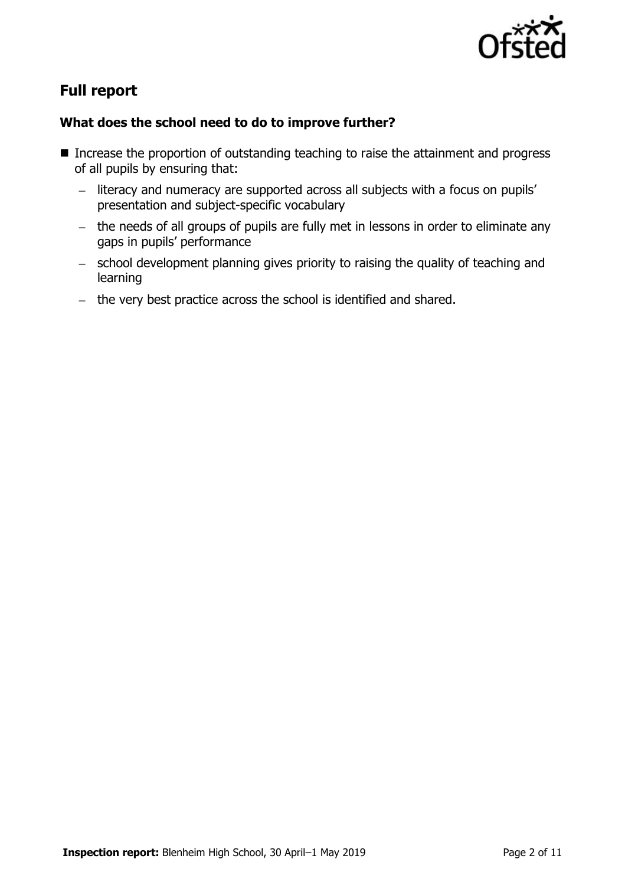

# **Full report**

#### **What does the school need to do to improve further?**

- Increase the proportion of outstanding teaching to raise the attainment and progress of all pupils by ensuring that:
	- literacy and numeracy are supported across all subjects with a focus on pupils' presentation and subject-specific vocabulary
	- $-$  the needs of all groups of pupils are fully met in lessons in order to eliminate any gaps in pupils' performance
	- school development planning gives priority to raising the quality of teaching and learning
	- $-$  the very best practice across the school is identified and shared.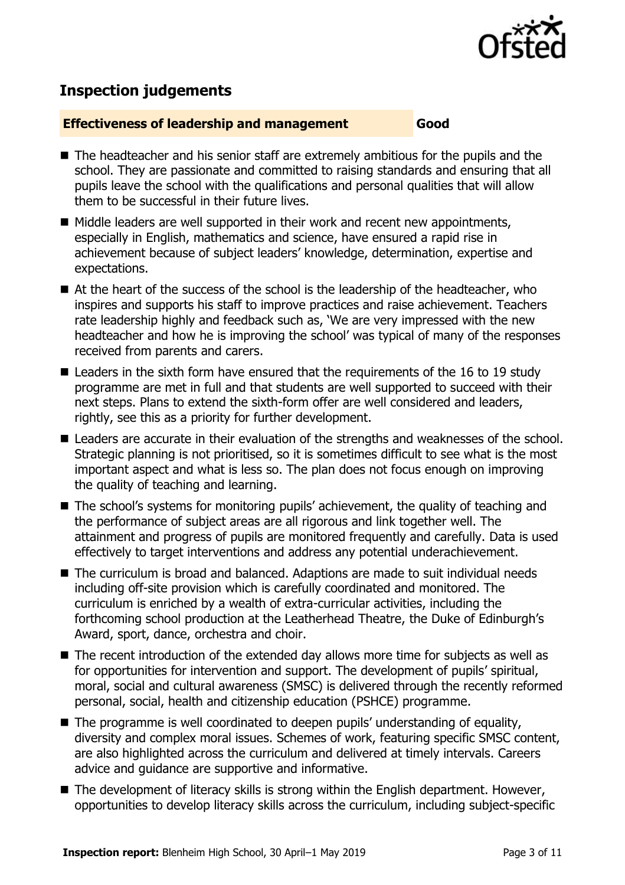

# **Inspection judgements**

#### **Effectiveness of leadership and management Good**

- The headteacher and his senior staff are extremely ambitious for the pupils and the school. They are passionate and committed to raising standards and ensuring that all pupils leave the school with the qualifications and personal qualities that will allow them to be successful in their future lives.
- Middle leaders are well supported in their work and recent new appointments, especially in English, mathematics and science, have ensured a rapid rise in achievement because of subject leaders' knowledge, determination, expertise and expectations.
- At the heart of the success of the school is the leadership of the headteacher, who inspires and supports his staff to improve practices and raise achievement. Teachers rate leadership highly and feedback such as, 'We are very impressed with the new headteacher and how he is improving the school' was typical of many of the responses received from parents and carers.
- Leaders in the sixth form have ensured that the requirements of the 16 to 19 study programme are met in full and that students are well supported to succeed with their next steps. Plans to extend the sixth-form offer are well considered and leaders, rightly, see this as a priority for further development.
- Leaders are accurate in their evaluation of the strengths and weaknesses of the school. Strategic planning is not prioritised, so it is sometimes difficult to see what is the most important aspect and what is less so. The plan does not focus enough on improving the quality of teaching and learning.
- The school's systems for monitoring pupils' achievement, the quality of teaching and the performance of subject areas are all rigorous and link together well. The attainment and progress of pupils are monitored frequently and carefully. Data is used effectively to target interventions and address any potential underachievement.
- The curriculum is broad and balanced. Adaptions are made to suit individual needs including off-site provision which is carefully coordinated and monitored. The curriculum is enriched by a wealth of extra-curricular activities, including the forthcoming school production at the Leatherhead Theatre, the Duke of Edinburgh's Award, sport, dance, orchestra and choir.
- The recent introduction of the extended day allows more time for subjects as well as for opportunities for intervention and support. The development of pupils' spiritual, moral, social and cultural awareness (SMSC) is delivered through the recently reformed personal, social, health and citizenship education (PSHCE) programme.
- $\blacksquare$  The programme is well coordinated to deepen pupils' understanding of equality, diversity and complex moral issues. Schemes of work, featuring specific SMSC content, are also highlighted across the curriculum and delivered at timely intervals. Careers advice and guidance are supportive and informative.
- The development of literacy skills is strong within the English department. However, opportunities to develop literacy skills across the curriculum, including subject-specific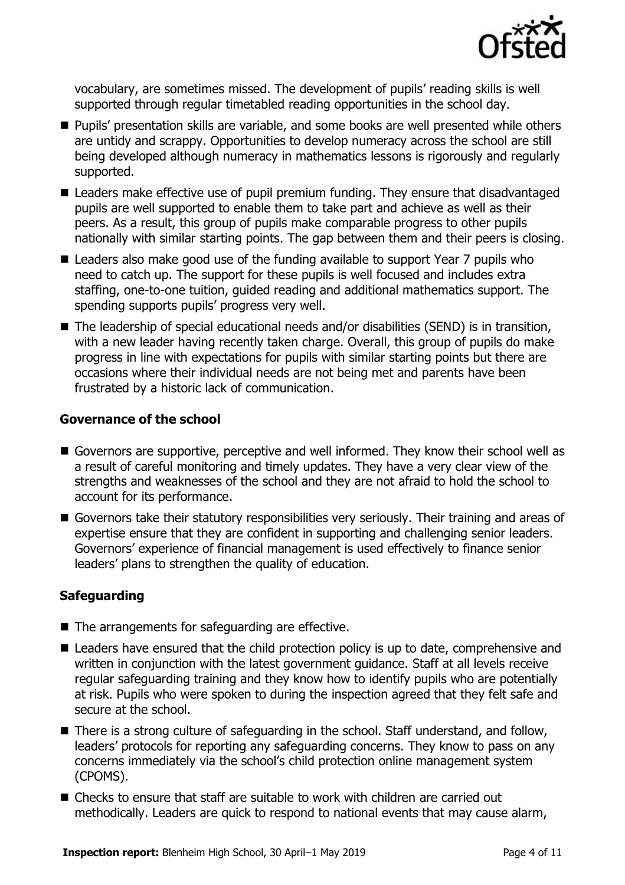

vocabulary, are sometimes missed. The development of pupils' reading skills is well supported through regular timetabled reading opportunities in the school day.

- **Pupils' presentation skills are variable, and some books are well presented while others** are untidy and scrappy. Opportunities to develop numeracy across the school are still being developed although numeracy in mathematics lessons is rigorously and regularly supported.
- Leaders make effective use of pupil premium funding. They ensure that disadvantaged pupils are well supported to enable them to take part and achieve as well as their peers. As a result, this group of pupils make comparable progress to other pupils nationally with similar starting points. The gap between them and their peers is closing.
- Leaders also make good use of the funding available to support Year 7 pupils who need to catch up. The support for these pupils is well focused and includes extra staffing, one-to-one tuition, guided reading and additional mathematics support. The spending supports pupils' progress very well.
- The leadership of special educational needs and/or disabilities (SEND) is in transition, with a new leader having recently taken charge. Overall, this group of pupils do make progress in line with expectations for pupils with similar starting points but there are occasions where their individual needs are not being met and parents have been frustrated by a historic lack of communication.

#### **Governance of the school**

- Governors are supportive, perceptive and well informed. They know their school well as a result of careful monitoring and timely updates. They have a very clear view of the strengths and weaknesses of the school and they are not afraid to hold the school to account for its performance.
- Governors take their statutory responsibilities very seriously. Their training and areas of expertise ensure that they are confident in supporting and challenging senior leaders. Governors' experience of financial management is used effectively to finance senior leaders' plans to strengthen the quality of education.

#### **Safeguarding**

- The arrangements for safeguarding are effective.
- Leaders have ensured that the child protection policy is up to date, comprehensive and written in conjunction with the latest government guidance. Staff at all levels receive regular safeguarding training and they know how to identify pupils who are potentially at risk. Pupils who were spoken to during the inspection agreed that they felt safe and secure at the school.
- There is a strong culture of safeguarding in the school. Staff understand, and follow, leaders' protocols for reporting any safeguarding concerns. They know to pass on any concerns immediately via the school's child protection online management system (CPOMS).
- Checks to ensure that staff are suitable to work with children are carried out methodically. Leaders are quick to respond to national events that may cause alarm,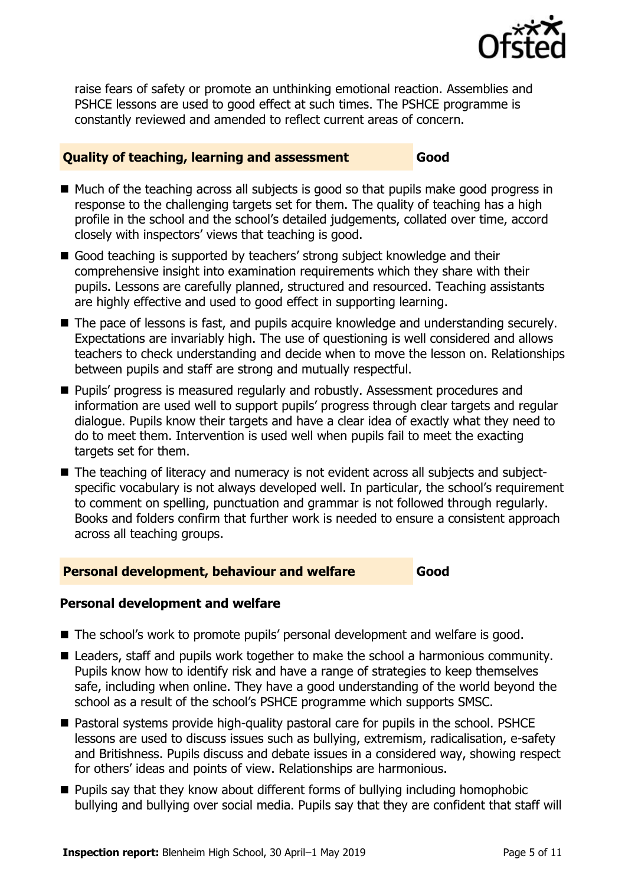

raise fears of safety or promote an unthinking emotional reaction. Assemblies and PSHCE lessons are used to good effect at such times. The PSHCE programme is constantly reviewed and amended to reflect current areas of concern.

#### **Quality of teaching, learning and assessment Good**

- $\blacksquare$  Much of the teaching across all subjects is good so that pupils make good progress in response to the challenging targets set for them. The quality of teaching has a high profile in the school and the school's detailed judgements, collated over time, accord closely with inspectors' views that teaching is good.
- Good teaching is supported by teachers' strong subject knowledge and their comprehensive insight into examination requirements which they share with their pupils. Lessons are carefully planned, structured and resourced. Teaching assistants are highly effective and used to good effect in supporting learning.
- The pace of lessons is fast, and pupils acquire knowledge and understanding securely. Expectations are invariably high. The use of questioning is well considered and allows teachers to check understanding and decide when to move the lesson on. Relationships between pupils and staff are strong and mutually respectful.
- **Pupils' progress is measured regularly and robustly. Assessment procedures and** information are used well to support pupils' progress through clear targets and regular dialogue. Pupils know their targets and have a clear idea of exactly what they need to do to meet them. Intervention is used well when pupils fail to meet the exacting targets set for them.
- The teaching of literacy and numeracy is not evident across all subjects and subjectspecific vocabulary is not always developed well. In particular, the school's requirement to comment on spelling, punctuation and grammar is not followed through regularly. Books and folders confirm that further work is needed to ensure a consistent approach across all teaching groups.

#### **Personal development, behaviour and welfare Good**

#### **Personal development and welfare**

- The school's work to promote pupils' personal development and welfare is good.
- Leaders, staff and pupils work together to make the school a harmonious community. Pupils know how to identify risk and have a range of strategies to keep themselves safe, including when online. They have a good understanding of the world beyond the school as a result of the school's PSHCE programme which supports SMSC.
- Pastoral systems provide high-quality pastoral care for pupils in the school. PSHCE lessons are used to discuss issues such as bullying, extremism, radicalisation, e-safety and Britishness. Pupils discuss and debate issues in a considered way, showing respect for others' ideas and points of view. Relationships are harmonious.
- **Pupils say that they know about different forms of bullying including homophobic** bullying and bullying over social media. Pupils say that they are confident that staff will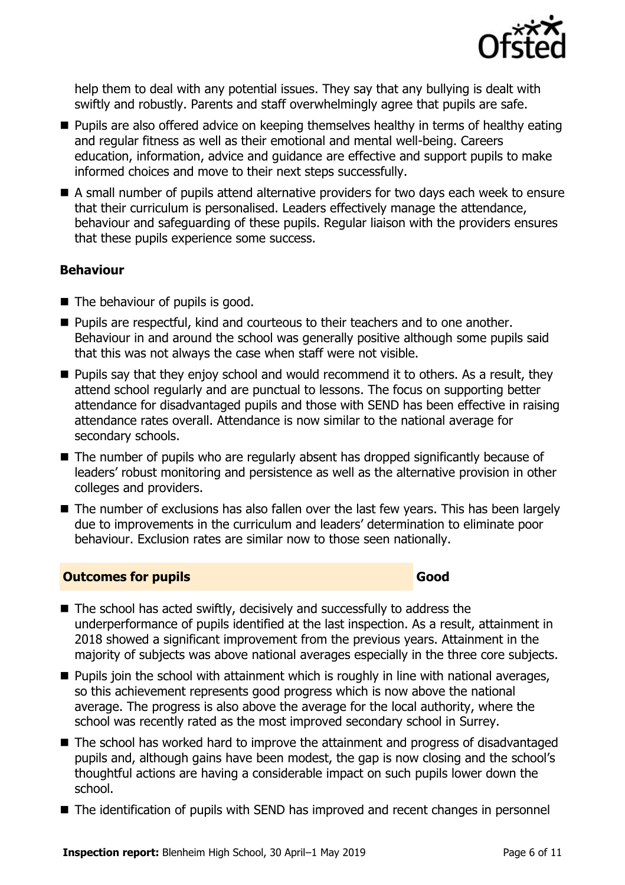

help them to deal with any potential issues. They say that any bullying is dealt with swiftly and robustly. Parents and staff overwhelmingly agree that pupils are safe.

- **Pupils are also offered advice on keeping themselves healthy in terms of healthy eating** and regular fitness as well as their emotional and mental well-being. Careers education, information, advice and guidance are effective and support pupils to make informed choices and move to their next steps successfully.
- A small number of pupils attend alternative providers for two days each week to ensure that their curriculum is personalised. Leaders effectively manage the attendance, behaviour and safeguarding of these pupils. Regular liaison with the providers ensures that these pupils experience some success.

#### **Behaviour**

- The behaviour of pupils is good.
- **Pupils are respectful, kind and courteous to their teachers and to one another.** Behaviour in and around the school was generally positive although some pupils said that this was not always the case when staff were not visible.
- **Pupils say that they enjoy school and would recommend it to others. As a result, they** attend school regularly and are punctual to lessons. The focus on supporting better attendance for disadvantaged pupils and those with SEND has been effective in raising attendance rates overall. Attendance is now similar to the national average for secondary schools.
- The number of pupils who are regularly absent has dropped significantly because of leaders' robust monitoring and persistence as well as the alternative provision in other colleges and providers.
- The number of exclusions has also fallen over the last few years. This has been largely due to improvements in the curriculum and leaders' determination to eliminate poor behaviour. Exclusion rates are similar now to those seen nationally.

### **Outcomes for pupils Good Good**

- The school has acted swiftly, decisively and successfully to address the underperformance of pupils identified at the last inspection. As a result, attainment in 2018 showed a significant improvement from the previous years. Attainment in the majority of subjects was above national averages especially in the three core subjects.
- **Pupils join the school with attainment which is roughly in line with national averages,** so this achievement represents good progress which is now above the national average. The progress is also above the average for the local authority, where the school was recently rated as the most improved secondary school in Surrey.
- The school has worked hard to improve the attainment and progress of disadvantaged pupils and, although gains have been modest, the gap is now closing and the school's thoughtful actions are having a considerable impact on such pupils lower down the school.
- The identification of pupils with SEND has improved and recent changes in personnel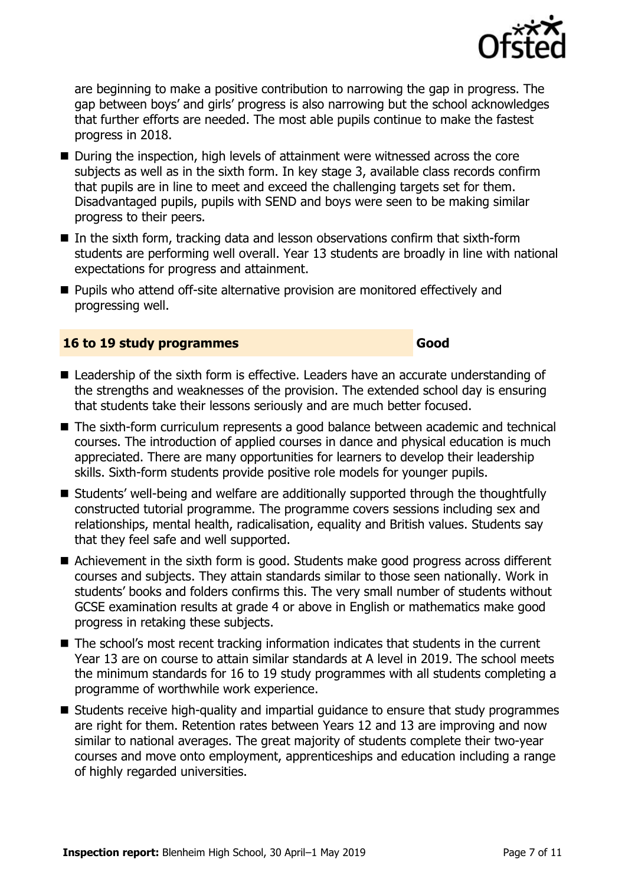

are beginning to make a positive contribution to narrowing the gap in progress. The gap between boys' and girls' progress is also narrowing but the school acknowledges that further efforts are needed. The most able pupils continue to make the fastest progress in 2018.

- During the inspection, high levels of attainment were witnessed across the core subjects as well as in the sixth form. In key stage 3, available class records confirm that pupils are in line to meet and exceed the challenging targets set for them. Disadvantaged pupils, pupils with SEND and boys were seen to be making similar progress to their peers.
- $\blacksquare$  In the sixth form, tracking data and lesson observations confirm that sixth-form students are performing well overall. Year 13 students are broadly in line with national expectations for progress and attainment.
- **Pupils who attend off-site alternative provision are monitored effectively and** progressing well.

#### **16 to 19 study programmes Good**

- Leadership of the sixth form is effective. Leaders have an accurate understanding of the strengths and weaknesses of the provision. The extended school day is ensuring that students take their lessons seriously and are much better focused.
- The sixth-form curriculum represents a good balance between academic and technical courses. The introduction of applied courses in dance and physical education is much appreciated. There are many opportunities for learners to develop their leadership skills. Sixth-form students provide positive role models for younger pupils.
- Students' well-being and welfare are additionally supported through the thoughtfully constructed tutorial programme. The programme covers sessions including sex and relationships, mental health, radicalisation, equality and British values. Students say that they feel safe and well supported.
- Achievement in the sixth form is good. Students make good progress across different courses and subjects. They attain standards similar to those seen nationally. Work in students' books and folders confirms this. The very small number of students without GCSE examination results at grade 4 or above in English or mathematics make good progress in retaking these subjects.
- The school's most recent tracking information indicates that students in the current Year 13 are on course to attain similar standards at A level in 2019. The school meets the minimum standards for 16 to 19 study programmes with all students completing a programme of worthwhile work experience.
- Students receive high-quality and impartial guidance to ensure that study programmes are right for them. Retention rates between Years 12 and 13 are improving and now similar to national averages. The great majority of students complete their two-year courses and move onto employment, apprenticeships and education including a range of highly regarded universities.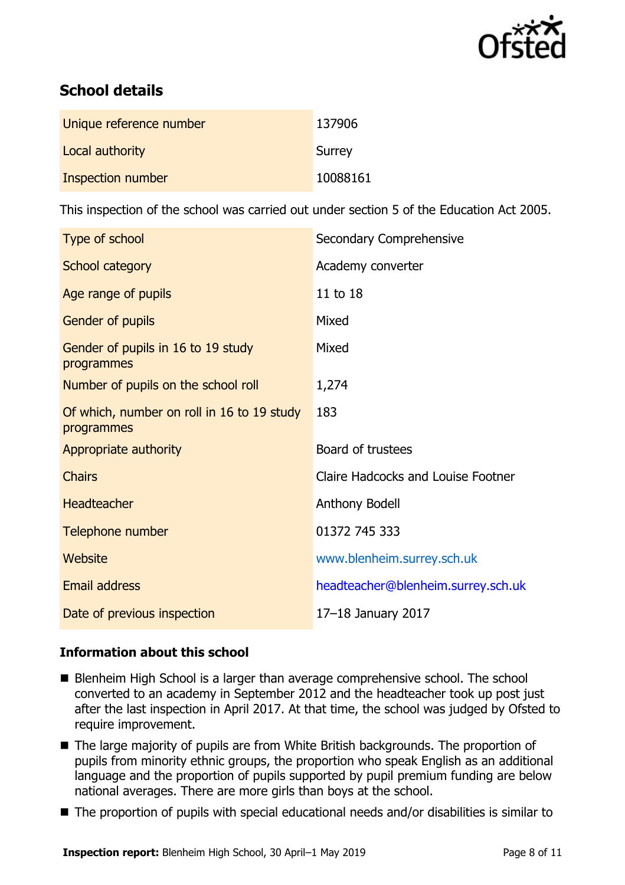

# **School details**

| Unique reference number | 137906   |
|-------------------------|----------|
| Local authority         | Surrey   |
| Inspection number       | 10088161 |

This inspection of the school was carried out under section 5 of the Education Act 2005.

| Type of school                                           | Secondary Comprehensive            |
|----------------------------------------------------------|------------------------------------|
| School category                                          | Academy converter                  |
| Age range of pupils                                      | 11 to 18                           |
| Gender of pupils                                         | Mixed                              |
| Gender of pupils in 16 to 19 study<br>programmes         | Mixed                              |
| Number of pupils on the school roll                      | 1,274                              |
| Of which, number on roll in 16 to 19 study<br>programmes | 183                                |
| Appropriate authority                                    | Board of trustees                  |
| <b>Chairs</b>                                            | Claire Hadcocks and Louise Footner |
| <b>Headteacher</b>                                       | Anthony Bodell                     |
| Telephone number                                         | 01372 745 333                      |
| <b>Website</b>                                           | www.blenheim.surrey.sch.uk         |
| <b>Email address</b>                                     | headteacher@blenheim.surrey.sch.uk |
| Date of previous inspection                              | 17-18 January 2017                 |

#### **Information about this school**

- Blenheim High School is a larger than average comprehensive school. The school converted to an academy in September 2012 and the headteacher took up post just after the last inspection in April 2017. At that time, the school was judged by Ofsted to require improvement.
- The large majority of pupils are from White British backgrounds. The proportion of pupils from minority ethnic groups, the proportion who speak English as an additional language and the proportion of pupils supported by pupil premium funding are below national averages. There are more girls than boys at the school.
- The proportion of pupils with special educational needs and/or disabilities is similar to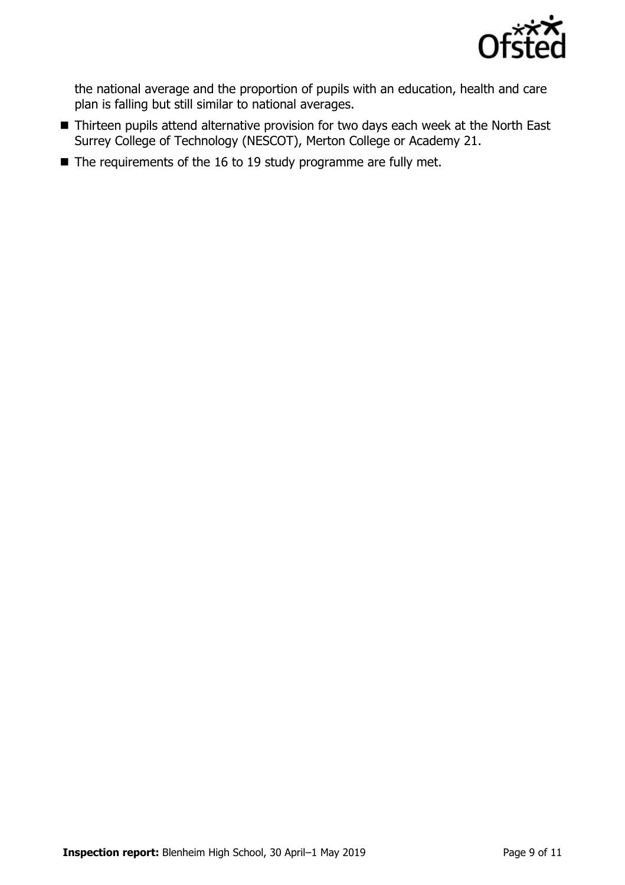

the national average and the proportion of pupils with an education, health and care plan is falling but still similar to national averages.

- Thirteen pupils attend alternative provision for two days each week at the North East Surrey College of Technology (NESCOT), Merton College or Academy 21.
- $\blacksquare$  The requirements of the 16 to 19 study programme are fully met.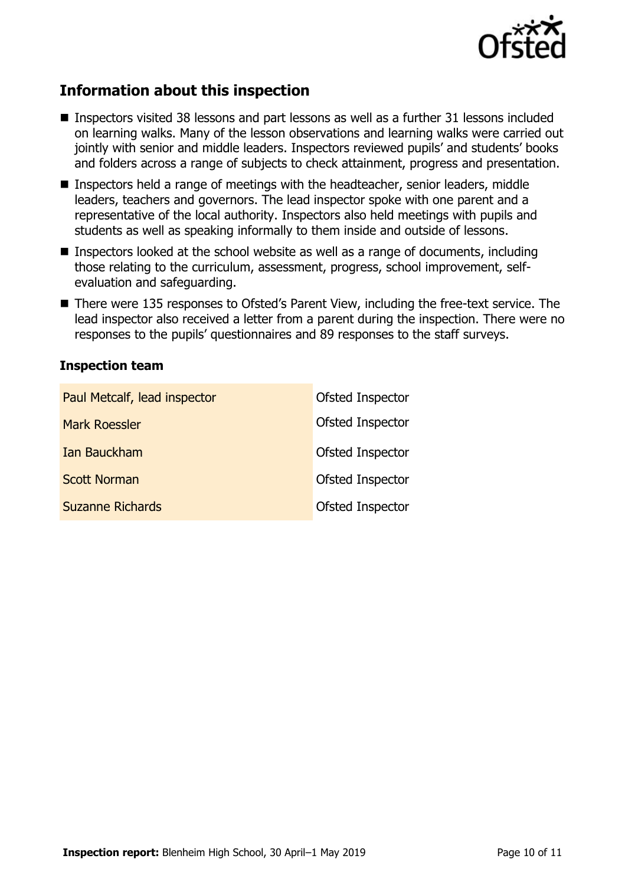

## **Information about this inspection**

- Inspectors visited 38 lessons and part lessons as well as a further 31 lessons included on learning walks. Many of the lesson observations and learning walks were carried out jointly with senior and middle leaders. Inspectors reviewed pupils' and students' books and folders across a range of subjects to check attainment, progress and presentation.
- **Inspectors held a range of meetings with the headteacher, senior leaders, middle** leaders, teachers and governors. The lead inspector spoke with one parent and a representative of the local authority. Inspectors also held meetings with pupils and students as well as speaking informally to them inside and outside of lessons.
- **Inspectors looked at the school website as well as a range of documents, including** those relating to the curriculum, assessment, progress, school improvement, selfevaluation and safeguarding.
- There were 135 responses to Ofsted's Parent View, including the free-text service. The lead inspector also received a letter from a parent during the inspection. There were no responses to the pupils' questionnaires and 89 responses to the staff surveys.

#### **Inspection team**

| Paul Metcalf, lead inspector | Ofsted Inspector |
|------------------------------|------------------|
| <b>Mark Roessler</b>         | Ofsted Inspector |
| Ian Bauckham                 | Ofsted Inspector |
| <b>Scott Norman</b>          | Ofsted Inspector |
| <b>Suzanne Richards</b>      | Ofsted Inspector |